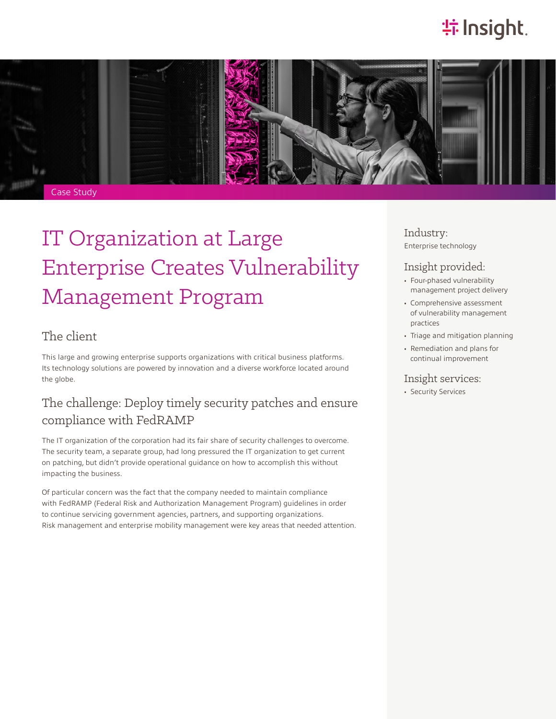## **特Insight**.



# IT Organization at Large Enterprise Creates Vulnerability Management Program

### The client

This large and growing enterprise supports organizations with critical business platforms. Its technology solutions are powered by innovation and a diverse workforce located around the globe.

### The challenge: Deploy timely security patches and ensure compliance with FedRAMP

The IT organization of the corporation had its fair share of security challenges to overcome. The security team, a separate group, had long pressured the IT organization to get current on patching, but didn't provide operational guidance on how to accomplish this without impacting the business.

Of particular concern was the fact that the company needed to maintain compliance with FedRAMP (Federal Risk and Authorization Management Program) guidelines in order to continue servicing government agencies, partners, and supporting organizations. Risk management and enterprise mobility management were key areas that needed attention. Industry: Enterprise technology

### Insight provided:

- Four-phased vulnerability management project delivery
- Comprehensive assessment of vulnerability management practices
- Triage and mitigation planning
- Remediation and plans for continual improvement

#### Insight services:

• Security Services